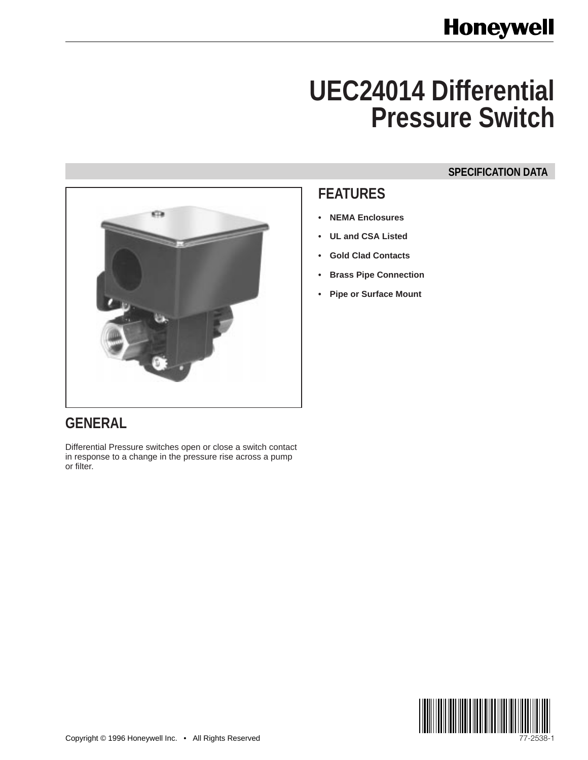# **UEC24014 Differential Pressure Switch**

### **SPECIFICATION DATA**



## **FEATURES**

- **NEMA Enclosures**
- **UL and CSA Listed**
- **Gold Clad Contacts**
- **Brass Pipe Connection**
- **Pipe or Surface Mount**

# **GENERAL**

Differential Pressure switches open or close a switch contact in response to a change in the pressure rise across a pump or filter.